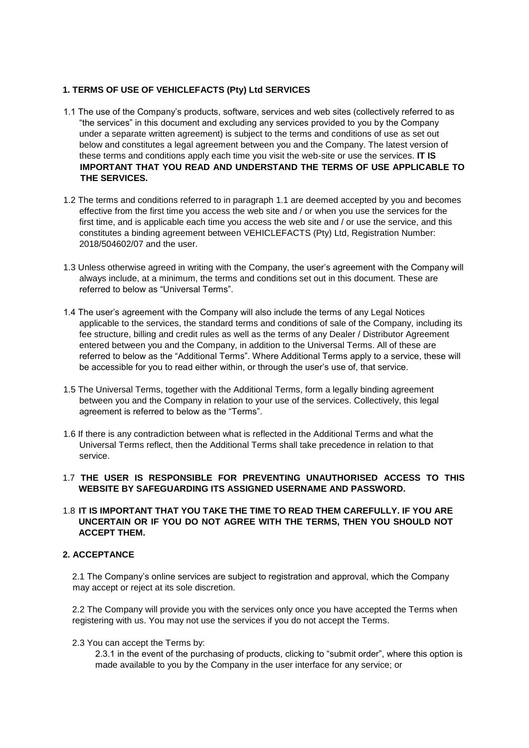# **1. TERMS OF USE OF VEHICLEFACTS (Pty) Ltd SERVICES**

- 1.1 The use of the Company's products, software, services and web sites (collectively referred to as "the services" in this document and excluding any services provided to you by the Company under a separate written agreement) is subject to the terms and conditions of use as set out below and constitutes a legal agreement between you and the Company. The latest version of these terms and conditions apply each time you visit the web-site or use the services. **IT IS IMPORTANT THAT YOU READ AND UNDERSTAND THE TERMS OF USE APPLICABLE TO THE SERVICES.**
- 1.2 The terms and conditions referred to in paragraph 1.1 are deemed accepted by you and becomes effective from the first time you access the web site and / or when you use the services for the first time, and is applicable each time you access the web site and / or use the service, and this constitutes a binding agreement between VEHICLEFACTS (Pty) Ltd, Registration Number: 2018/504602/07 and the user.
- 1.3 Unless otherwise agreed in writing with the Company, the user's agreement with the Company will always include, at a minimum, the terms and conditions set out in this document. These are referred to below as "Universal Terms".
- 1.4 The user's agreement with the Company will also include the terms of any Legal Notices applicable to the services, the standard terms and conditions of sale of the Company, including its fee structure, billing and credit rules as well as the terms of any Dealer / Distributor Agreement entered between you and the Company, in addition to the Universal Terms. All of these are referred to below as the "Additional Terms". Where Additional Terms apply to a service, these will be accessible for you to read either within, or through the user's use of, that service.
- 1.5 The Universal Terms, together with the Additional Terms, form a legally binding agreement between you and the Company in relation to your use of the services. Collectively, this legal agreement is referred to below as the "Terms".
- 1.6 If there is any contradiction between what is reflected in the Additional Terms and what the Universal Terms reflect, then the Additional Terms shall take precedence in relation to that service.

## 1.7 **THE USER IS RESPONSIBLE FOR PREVENTING UNAUTHORISED ACCESS TO THIS WEBSITE BY SAFEGUARDING ITS ASSIGNED USERNAME AND PASSWORD.**

## 1.8 **IT IS IMPORTANT THAT YOU TAKE THE TIME TO READ THEM CAREFULLY. IF YOU ARE UNCERTAIN OR IF YOU DO NOT AGREE WITH THE TERMS, THEN YOU SHOULD NOT ACCEPT THEM.**

## **2. ACCEPTANCE**

2.1 The Company's online services are subject to registration and approval, which the Company may accept or reject at its sole discretion.

2.2 The Company will provide you with the services only once you have accepted the Terms when registering with us. You may not use the services if you do not accept the Terms.

2.3 You can accept the Terms by:

2.3.1 in the event of the purchasing of products, clicking to "submit order", where this option is made available to you by the Company in the user interface for any service; or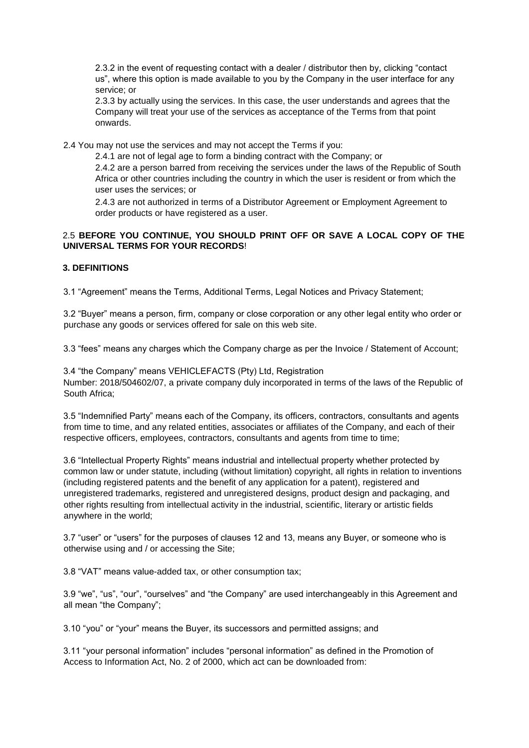2.3.2 in the event of requesting contact with a dealer / distributor then by, clicking "contact us", where this option is made available to you by the Company in the user interface for any service; or

2.3.3 by actually using the services. In this case, the user understands and agrees that the Company will treat your use of the services as acceptance of the Terms from that point onwards.

2.4 You may not use the services and may not accept the Terms if you:

2.4.1 are not of legal age to form a binding contract with the Company; or

2.4.2 are a person barred from receiving the services under the laws of the Republic of South Africa or other countries including the country in which the user is resident or from which the user uses the services; or

2.4.3 are not authorized in terms of a Distributor Agreement or Employment Agreement to order products or have registered as a user.

# 2.5 **BEFORE YOU CONTINUE, YOU SHOULD PRINT OFF OR SAVE A LOCAL COPY OF THE UNIVERSAL TERMS FOR YOUR RECORDS**!

## **3. DEFINITIONS**

3.1 "Agreement" means the Terms, Additional Terms, Legal Notices and Privacy Statement;

3.2 "Buyer" means a person, firm, company or close corporation or any other legal entity who order or purchase any goods or services offered for sale on this web site.

3.3 "fees" means any charges which the Company charge as per the Invoice / Statement of Account;

3.4 "the Company" means VEHICLEFACTS (Pty) Ltd, Registration Number: 2018/504602/07, a private company duly incorporated in terms of the laws of the Republic of South Africa;

3.5 "Indemnified Party" means each of the Company, its officers, contractors, consultants and agents from time to time, and any related entities, associates or affiliates of the Company, and each of their respective officers, employees, contractors, consultants and agents from time to time;

3.6 "Intellectual Property Rights" means industrial and intellectual property whether protected by common law or under statute, including (without limitation) copyright, all rights in relation to inventions (including registered patents and the benefit of any application for a patent), registered and unregistered trademarks, registered and unregistered designs, product design and packaging, and other rights resulting from intellectual activity in the industrial, scientific, literary or artistic fields anywhere in the world;

3.7 "user" or "users" for the purposes of clauses 12 and 13, means any Buyer, or someone who is otherwise using and / or accessing the Site;

3.8 "VAT" means value-added tax, or other consumption tax;

3.9 "we", "us", "our", "ourselves" and "the Company" are used interchangeably in this Agreement and all mean "the Company";

3.10 "you" or "your" means the Buyer, its successors and permitted assigns; and

3.11 "your personal information" includes "personal information" as defined in the Promotion of Access to Information Act, No. 2 of 2000, which act can be downloaded from: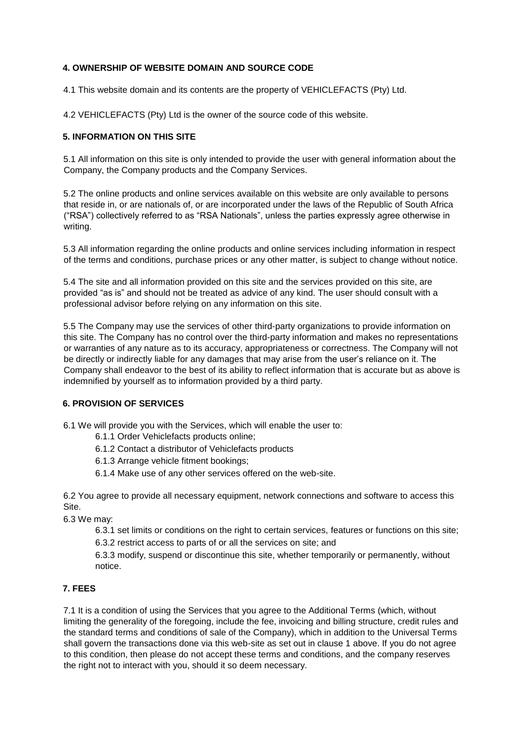# **4. OWNERSHIP OF WEBSITE DOMAIN AND SOURCE CODE**

4.1 This website domain and its contents are the property of VEHICLEFACTS (Pty) Ltd.

4.2 VEHICLEFACTS (Pty) Ltd is the owner of the source code of this website.

## **5. INFORMATION ON THIS SITE**

5.1 All information on this site is only intended to provide the user with general information about the Company, the Company products and the Company Services.

5.2 The online products and online services available on this website are only available to persons that reside in, or are nationals of, or are incorporated under the laws of the Republic of South Africa ("RSA") collectively referred to as "RSA Nationals", unless the parties expressly agree otherwise in writing.

5.3 All information regarding the online products and online services including information in respect of the terms and conditions, purchase prices or any other matter, is subject to change without notice.

5.4 The site and all information provided on this site and the services provided on this site, are provided "as is" and should not be treated as advice of any kind. The user should consult with a professional advisor before relying on any information on this site.

5.5 The Company may use the services of other third-party organizations to provide information on this site. The Company has no control over the third-party information and makes no representations or warranties of any nature as to its accuracy, appropriateness or correctness. The Company will not be directly or indirectly liable for any damages that may arise from the user's reliance on it. The Company shall endeavor to the best of its ability to reflect information that is accurate but as above is indemnified by yourself as to information provided by a third party.

# **6. PROVISION OF SERVICES**

6.1 We will provide you with the Services, which will enable the user to:

- 6.1.1 Order Vehiclefacts products online;
- 6.1.2 Contact a distributor of Vehiclefacts products
- 6.1.3 Arrange vehicle fitment bookings;
- 6.1.4 Make use of any other services offered on the web-site.

6.2 You agree to provide all necessary equipment, network connections and software to access this Site.

6.3 We may:

6.3.1 set limits or conditions on the right to certain services, features or functions on this site; 6.3.2 restrict access to parts of or all the services on site; and

6.3.3 modify, suspend or discontinue this site, whether temporarily or permanently, without notice.

## **7. FEES**

7.1 It is a condition of using the Services that you agree to the Additional Terms (which, without limiting the generality of the foregoing, include the fee, invoicing and billing structure, credit rules and the standard terms and conditions of sale of the Company), which in addition to the Universal Terms shall govern the transactions done via this web-site as set out in clause 1 above. If you do not agree to this condition, then please do not accept these terms and conditions, and the company reserves the right not to interact with you, should it so deem necessary.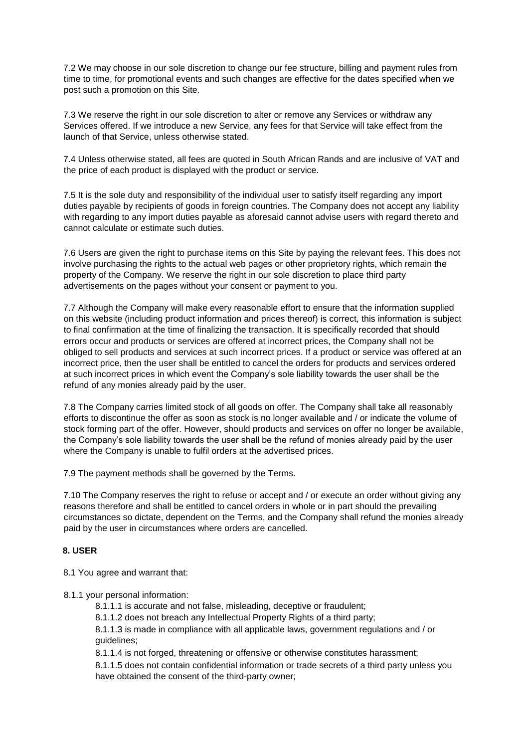7.2 We may choose in our sole discretion to change our fee structure, billing and payment rules from time to time, for promotional events and such changes are effective for the dates specified when we post such a promotion on this Site.

7.3 We reserve the right in our sole discretion to alter or remove any Services or withdraw any Services offered. If we introduce a new Service, any fees for that Service will take effect from the launch of that Service, unless otherwise stated.

7.4 Unless otherwise stated, all fees are quoted in South African Rands and are inclusive of VAT and the price of each product is displayed with the product or service.

7.5 It is the sole duty and responsibility of the individual user to satisfy itself regarding any import duties payable by recipients of goods in foreign countries. The Company does not accept any liability with regarding to any import duties payable as aforesaid cannot advise users with regard thereto and cannot calculate or estimate such duties.

7.6 Users are given the right to purchase items on this Site by paying the relevant fees. This does not involve purchasing the rights to the actual web pages or other proprietory rights, which remain the property of the Company. We reserve the right in our sole discretion to place third party advertisements on the pages without your consent or payment to you.

7.7 Although the Company will make every reasonable effort to ensure that the information supplied on this website (including product information and prices thereof) is correct, this information is subject to final confirmation at the time of finalizing the transaction. It is specifically recorded that should errors occur and products or services are offered at incorrect prices, the Company shall not be obliged to sell products and services at such incorrect prices. If a product or service was offered at an incorrect price, then the user shall be entitled to cancel the orders for products and services ordered at such incorrect prices in which event the Company's sole liability towards the user shall be the refund of any monies already paid by the user.

7.8 The Company carries limited stock of all goods on offer. The Company shall take all reasonably efforts to discontinue the offer as soon as stock is no longer available and / or indicate the volume of stock forming part of the offer. However, should products and services on offer no longer be available, the Company's sole liability towards the user shall be the refund of monies already paid by the user where the Company is unable to fulfil orders at the advertised prices.

7.9 The payment methods shall be governed by the Terms.

7.10 The Company reserves the right to refuse or accept and / or execute an order without giving any reasons therefore and shall be entitled to cancel orders in whole or in part should the prevailing circumstances so dictate, dependent on the Terms, and the Company shall refund the monies already paid by the user in circumstances where orders are cancelled.

## **8. USER**

8.1 You agree and warrant that:

8.1.1 your personal information:

- 8.1.1.1 is accurate and not false, misleading, deceptive or fraudulent;
- 8.1.1.2 does not breach any Intellectual Property Rights of a third party;

8.1.1.3 is made in compliance with all applicable laws, government regulations and / or guidelines;

8.1.1.4 is not forged, threatening or offensive or otherwise constitutes harassment;

8.1.1.5 does not contain confidential information or trade secrets of a third party unless you have obtained the consent of the third-party owner;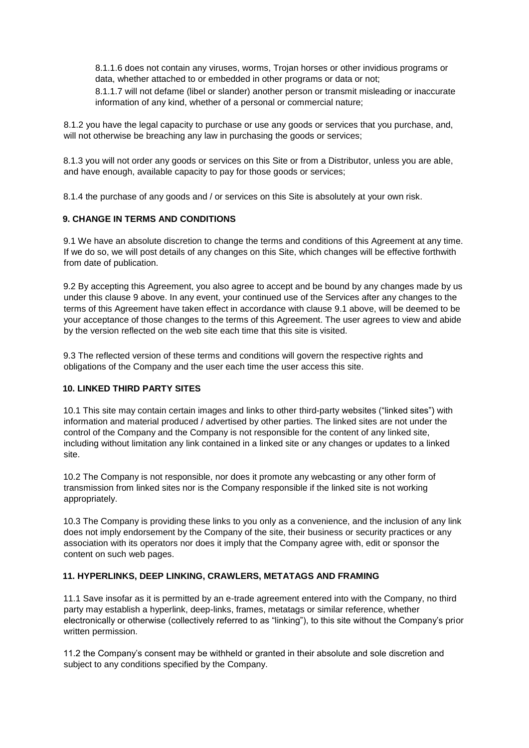8.1.1.6 does not contain any viruses, worms, Trojan horses or other invidious programs or data, whether attached to or embedded in other programs or data or not;

8.1.1.7 will not defame (libel or slander) another person or transmit misleading or inaccurate information of any kind, whether of a personal or commercial nature;

8.1.2 you have the legal capacity to purchase or use any goods or services that you purchase, and, will not otherwise be breaching any law in purchasing the goods or services;

8.1.3 you will not order any goods or services on this Site or from a Distributor, unless you are able, and have enough, available capacity to pay for those goods or services;

8.1.4 the purchase of any goods and / or services on this Site is absolutely at your own risk.

## **9. CHANGE IN TERMS AND CONDITIONS**

9.1 We have an absolute discretion to change the terms and conditions of this Agreement at any time. If we do so, we will post details of any changes on this Site, which changes will be effective forthwith from date of publication.

9.2 By accepting this Agreement, you also agree to accept and be bound by any changes made by us under this clause 9 above. In any event, your continued use of the Services after any changes to the terms of this Agreement have taken effect in accordance with clause 9.1 above, will be deemed to be your acceptance of those changes to the terms of this Agreement. The user agrees to view and abide by the version reflected on the web site each time that this site is visited.

9.3 The reflected version of these terms and conditions will govern the respective rights and obligations of the Company and the user each time the user access this site.

## **10. LINKED THIRD PARTY SITES**

10.1 This site may contain certain images and links to other third-party websites ("linked sites") with information and material produced / advertised by other parties. The linked sites are not under the control of the Company and the Company is not responsible for the content of any linked site, including without limitation any link contained in a linked site or any changes or updates to a linked site.

10.2 The Company is not responsible, nor does it promote any webcasting or any other form of transmission from linked sites nor is the Company responsible if the linked site is not working appropriately.

10.3 The Company is providing these links to you only as a convenience, and the inclusion of any link does not imply endorsement by the Company of the site, their business or security practices or any association with its operators nor does it imply that the Company agree with, edit or sponsor the content on such web pages.

## **11. HYPERLINKS, DEEP LINKING, CRAWLERS, METATAGS AND FRAMING**

11.1 Save insofar as it is permitted by an e-trade agreement entered into with the Company, no third party may establish a hyperlink, deep-links, frames, metatags or similar reference, whether electronically or otherwise (collectively referred to as "linking"), to this site without the Company's prior written permission.

11.2 the Company's consent may be withheld or granted in their absolute and sole discretion and subject to any conditions specified by the Company.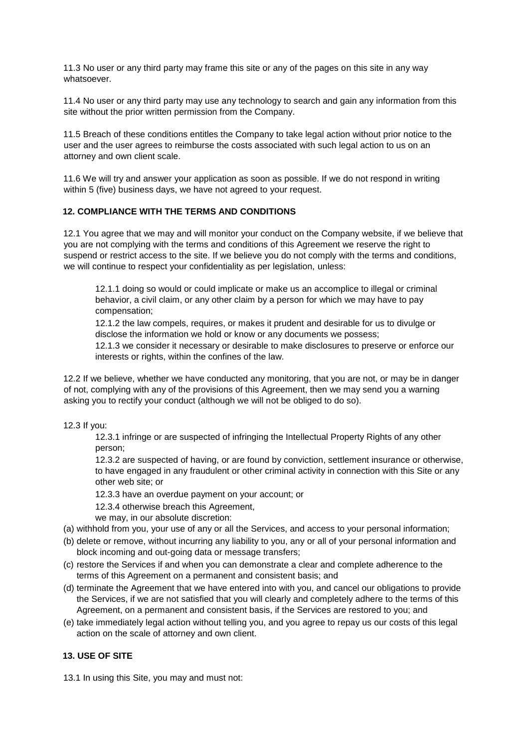11.3 No user or any third party may frame this site or any of the pages on this site in any way whatsoever.

11.4 No user or any third party may use any technology to search and gain any information from this site without the prior written permission from the Company.

11.5 Breach of these conditions entitles the Company to take legal action without prior notice to the user and the user agrees to reimburse the costs associated with such legal action to us on an attorney and own client scale.

11.6 We will try and answer your application as soon as possible. If we do not respond in writing within 5 (five) business days, we have not agreed to your request.

#### **12. COMPLIANCE WITH THE TERMS AND CONDITIONS**

12.1 You agree that we may and will monitor your conduct on the Company website, if we believe that you are not complying with the terms and conditions of this Agreement we reserve the right to suspend or restrict access to the site. If we believe you do not comply with the terms and conditions, we will continue to respect your confidentiality as per legislation, unless:

12.1.1 doing so would or could implicate or make us an accomplice to illegal or criminal behavior, a civil claim, or any other claim by a person for which we may have to pay compensation;

12.1.2 the law compels, requires, or makes it prudent and desirable for us to divulge or disclose the information we hold or know or any documents we possess;

12.1.3 we consider it necessary or desirable to make disclosures to preserve or enforce our interests or rights, within the confines of the law.

12.2 If we believe, whether we have conducted any monitoring, that you are not, or may be in danger of not, complying with any of the provisions of this Agreement, then we may send you a warning asking you to rectify your conduct (although we will not be obliged to do so).

12.3 If you:

12.3.1 infringe or are suspected of infringing the Intellectual Property Rights of any other person;

12.3.2 are suspected of having, or are found by conviction, settlement insurance or otherwise, to have engaged in any fraudulent or other criminal activity in connection with this Site or any other web site; or

12.3.3 have an overdue payment on your account; or

12.3.4 otherwise breach this Agreement,

we may, in our absolute discretion:

- (a) withhold from you, your use of any or all the Services, and access to your personal information;
- (b) delete or remove, without incurring any liability to you, any or all of your personal information and block incoming and out-going data or message transfers;
- (c) restore the Services if and when you can demonstrate a clear and complete adherence to the terms of this Agreement on a permanent and consistent basis; and
- (d) terminate the Agreement that we have entered into with you, and cancel our obligations to provide the Services, if we are not satisfied that you will clearly and completely adhere to the terms of this Agreement, on a permanent and consistent basis, if the Services are restored to you; and
- (e) take immediately legal action without telling you, and you agree to repay us our costs of this legal action on the scale of attorney and own client.

## **13. USE OF SITE**

13.1 In using this Site, you may and must not: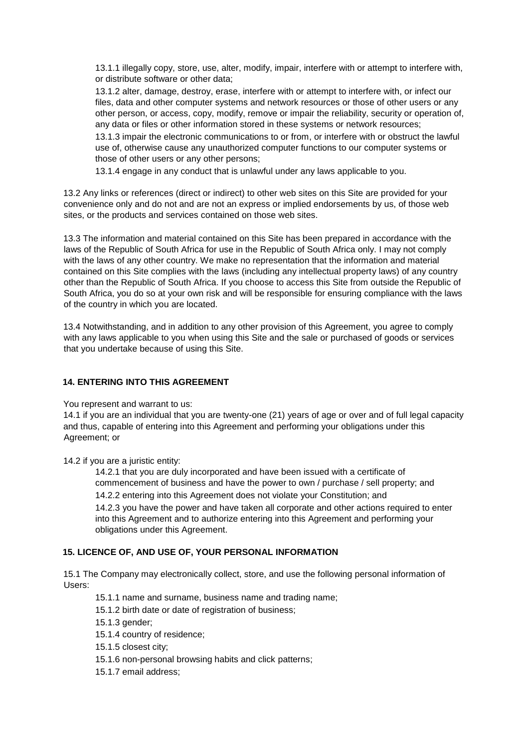13.1.1 illegally copy, store, use, alter, modify, impair, interfere with or attempt to interfere with, or distribute software or other data;

13.1.2 alter, damage, destroy, erase, interfere with or attempt to interfere with, or infect our files, data and other computer systems and network resources or those of other users or any other person, or access, copy, modify, remove or impair the reliability, security or operation of, any data or files or other information stored in these systems or network resources;

13.1.3 impair the electronic communications to or from, or interfere with or obstruct the lawful use of, otherwise cause any unauthorized computer functions to our computer systems or those of other users or any other persons;

13.1.4 engage in any conduct that is unlawful under any laws applicable to you.

13.2 Any links or references (direct or indirect) to other web sites on this Site are provided for your convenience only and do not and are not an express or implied endorsements by us, of those web sites, or the products and services contained on those web sites.

13.3 The information and material contained on this Site has been prepared in accordance with the laws of the Republic of South Africa for use in the Republic of South Africa only. I may not comply with the laws of any other country. We make no representation that the information and material contained on this Site complies with the laws (including any intellectual property laws) of any country other than the Republic of South Africa. If you choose to access this Site from outside the Republic of South Africa, you do so at your own risk and will be responsible for ensuring compliance with the laws of the country in which you are located.

13.4 Notwithstanding, and in addition to any other provision of this Agreement, you agree to comply with any laws applicable to you when using this Site and the sale or purchased of goods or services that you undertake because of using this Site.

## **14. ENTERING INTO THIS AGREEMENT**

You represent and warrant to us:

14.1 if you are an individual that you are twenty-one (21) years of age or over and of full legal capacity and thus, capable of entering into this Agreement and performing your obligations under this Agreement; or

14.2 if you are a juristic entity:

14.2.1 that you are duly incorporated and have been issued with a certificate of commencement of business and have the power to own / purchase / sell property; and 14.2.2 entering into this Agreement does not violate your Constitution; and 14.2.3 you have the power and have taken all corporate and other actions required to enter into this Agreement and to authorize entering into this Agreement and performing your obligations under this Agreement.

## **15. LICENCE OF, AND USE OF, YOUR PERSONAL INFORMATION**

15.1 The Company may electronically collect, store, and use the following personal information of Users:

15.1.1 name and surname, business name and trading name;

15.1.2 birth date or date of registration of business;

15.1.3 gender;

15.1.4 country of residence;

15.1.5 closest city;

- 15.1.6 non-personal browsing habits and click patterns;
- 15.1.7 email address;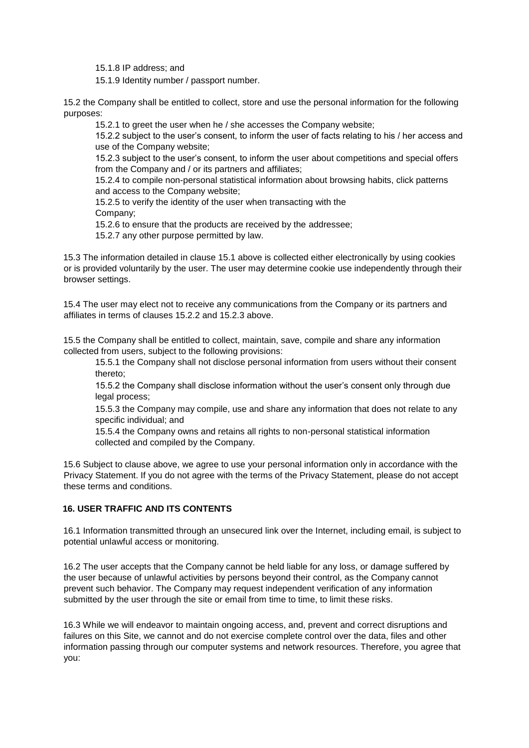15.1.8 IP address; and

15.1.9 Identity number / passport number.

15.2 the Company shall be entitled to collect, store and use the personal information for the following purposes:

15.2.1 to greet the user when he / she accesses the Company website;

15.2.2 subject to the user's consent, to inform the user of facts relating to his / her access and use of the Company website;

15.2.3 subject to the user's consent, to inform the user about competitions and special offers from the Company and / or its partners and affiliates;

15.2.4 to compile non-personal statistical information about browsing habits, click patterns and access to the Company website;

15.2.5 to verify the identity of the user when transacting with the Company;

15.2.6 to ensure that the products are received by the addressee;

15.2.7 any other purpose permitted by law.

15.3 The information detailed in clause 15.1 above is collected either electronically by using cookies or is provided voluntarily by the user. The user may determine cookie use independently through their browser settings.

15.4 The user may elect not to receive any communications from the Company or its partners and affiliates in terms of clauses 15.2.2 and 15.2.3 above.

15.5 the Company shall be entitled to collect, maintain, save, compile and share any information collected from users, subject to the following provisions:

15.5.1 the Company shall not disclose personal information from users without their consent thereto;

15.5.2 the Company shall disclose information without the user's consent only through due legal process;

15.5.3 the Company may compile, use and share any information that does not relate to any specific individual; and

15.5.4 the Company owns and retains all rights to non-personal statistical information collected and compiled by the Company.

15.6 Subject to clause above, we agree to use your personal information only in accordance with the Privacy Statement. If you do not agree with the terms of the Privacy Statement, please do not accept these terms and conditions.

## **16. USER TRAFFIC AND ITS CONTENTS**

16.1 Information transmitted through an unsecured link over the Internet, including email, is subject to potential unlawful access or monitoring.

16.2 The user accepts that the Company cannot be held liable for any loss, or damage suffered by the user because of unlawful activities by persons beyond their control, as the Company cannot prevent such behavior. The Company may request independent verification of any information submitted by the user through the site or email from time to time, to limit these risks.

16.3 While we will endeavor to maintain ongoing access, and, prevent and correct disruptions and failures on this Site, we cannot and do not exercise complete control over the data, files and other information passing through our computer systems and network resources. Therefore, you agree that you: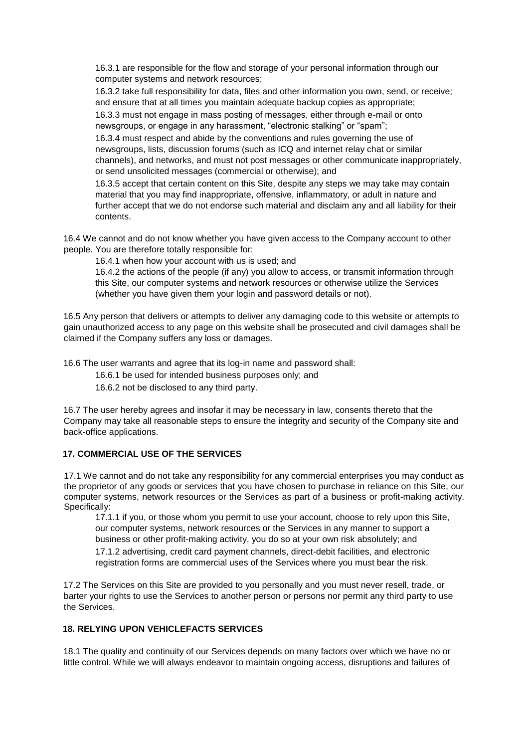16.3.1 are responsible for the flow and storage of your personal information through our computer systems and network resources;

16.3.2 take full responsibility for data, files and other information you own, send, or receive; and ensure that at all times you maintain adequate backup copies as appropriate;

16.3.3 must not engage in mass posting of messages, either through e-mail or onto newsgroups, or engage in any harassment, "electronic stalking" or "spam"; 16.3.4 must respect and abide by the conventions and rules governing the use of

newsgroups, lists, discussion forums (such as ICQ and internet relay chat or similar channels), and networks, and must not post messages or other communicate inappropriately, or send unsolicited messages (commercial or otherwise); and

16.3.5 accept that certain content on this Site, despite any steps we may take may contain material that you may find inappropriate, offensive, inflammatory, or adult in nature and further accept that we do not endorse such material and disclaim any and all liability for their contents.

16.4 We cannot and do not know whether you have given access to the Company account to other people. You are therefore totally responsible for:

16.4.1 when how your account with us is used; and

16.4.2 the actions of the people (if any) you allow to access, or transmit information through this Site, our computer systems and network resources or otherwise utilize the Services (whether you have given them your login and password details or not).

16.5 Any person that delivers or attempts to deliver any damaging code to this website or attempts to gain unauthorized access to any page on this website shall be prosecuted and civil damages shall be claimed if the Company suffers any loss or damages.

16.6 The user warrants and agree that its log-in name and password shall:

16.6.1 be used for intended business purposes only; and

16.6.2 not be disclosed to any third party.

16.7 The user hereby agrees and insofar it may be necessary in law, consents thereto that the Company may take all reasonable steps to ensure the integrity and security of the Company site and back-office applications.

## **17. COMMERCIAL USE OF THE SERVICES**

17.1 We cannot and do not take any responsibility for any commercial enterprises you may conduct as the proprietor of any goods or services that you have chosen to purchase in reliance on this Site, our computer systems, network resources or the Services as part of a business or profit-making activity. Specifically:

17.1.1 if you, or those whom you permit to use your account, choose to rely upon this Site, our computer systems, network resources or the Services in any manner to support a business or other profit-making activity, you do so at your own risk absolutely; and

17.1.2 advertising, credit card payment channels, direct-debit facilities, and electronic registration forms are commercial uses of the Services where you must bear the risk.

17.2 The Services on this Site are provided to you personally and you must never resell, trade, or barter your rights to use the Services to another person or persons nor permit any third party to use the Services.

## **18. RELYING UPON VEHICLEFACTS SERVICES**

18.1 The quality and continuity of our Services depends on many factors over which we have no or little control. While we will always endeavor to maintain ongoing access, disruptions and failures of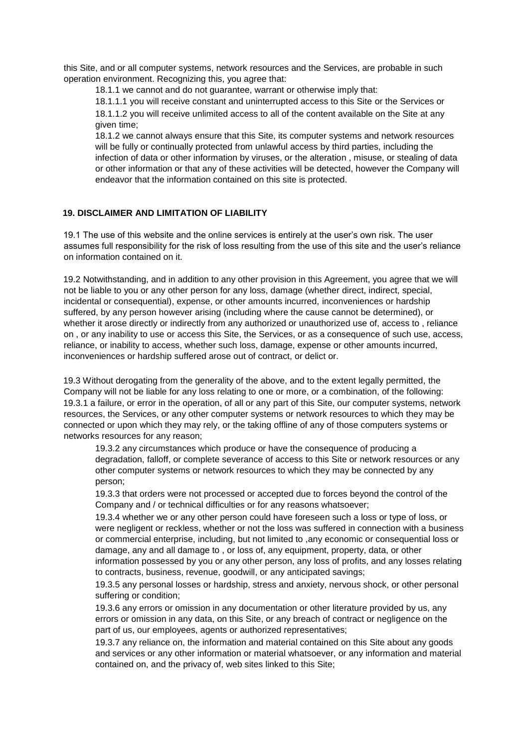this Site, and or all computer systems, network resources and the Services, are probable in such operation environment. Recognizing this, you agree that:

18.1.1 we cannot and do not guarantee, warrant or otherwise imply that:

18.1.1.1 you will receive constant and uninterrupted access to this Site or the Services or 18.1.1.2 you will receive unlimited access to all of the content available on the Site at any given time;

18.1.2 we cannot always ensure that this Site, its computer systems and network resources will be fully or continually protected from unlawful access by third parties, including the infection of data or other information by viruses, or the alteration , misuse, or stealing of data or other information or that any of these activities will be detected, however the Company will endeavor that the information contained on this site is protected.

# **19. DISCLAIMER AND LIMITATION OF LIABILITY**

19.1 The use of this website and the online services is entirely at the user's own risk. The user assumes full responsibility for the risk of loss resulting from the use of this site and the user's reliance on information contained on it.

19.2 Notwithstanding, and in addition to any other provision in this Agreement, you agree that we will not be liable to you or any other person for any loss, damage (whether direct, indirect, special, incidental or consequential), expense, or other amounts incurred, inconveniences or hardship suffered, by any person however arising (including where the cause cannot be determined), or whether it arose directly or indirectly from any authorized or unauthorized use of, access to, reliance on , or any inability to use or access this Site, the Services, or as a consequence of such use, access, reliance, or inability to access, whether such loss, damage, expense or other amounts incurred, inconveniences or hardship suffered arose out of contract, or delict or.

19.3 Without derogating from the generality of the above, and to the extent legally permitted, the Company will not be liable for any loss relating to one or more, or a combination, of the following: 19.3.1 a failure, or error in the operation, of all or any part of this Site, our computer systems, network resources, the Services, or any other computer systems or network resources to which they may be connected or upon which they may rely, or the taking offline of any of those computers systems or networks resources for any reason;

19.3.2 any circumstances which produce or have the consequence of producing a degradation, falloff, or complete severance of access to this Site or network resources or any other computer systems or network resources to which they may be connected by any person;

19.3.3 that orders were not processed or accepted due to forces beyond the control of the Company and / or technical difficulties or for any reasons whatsoever;

19.3.4 whether we or any other person could have foreseen such a loss or type of loss, or were negligent or reckless, whether or not the loss was suffered in connection with a business or commercial enterprise, including, but not limited to ,any economic or consequential loss or damage, any and all damage to , or loss of, any equipment, property, data, or other information possessed by you or any other person, any loss of profits, and any losses relating to contracts, business, revenue, goodwill, or any anticipated savings;

19.3.5 any personal losses or hardship, stress and anxiety, nervous shock, or other personal suffering or condition;

19.3.6 any errors or omission in any documentation or other literature provided by us, any errors or omission in any data, on this Site, or any breach of contract or negligence on the part of us, our employees, agents or authorized representatives;

19.3.7 any reliance on, the information and material contained on this Site about any goods and services or any other information or material whatsoever, or any information and material contained on, and the privacy of, web sites linked to this Site;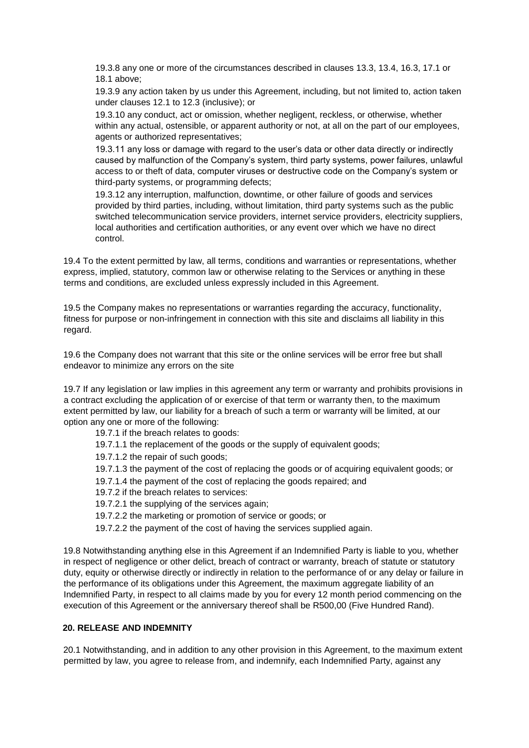19.3.8 any one or more of the circumstances described in clauses 13.3, 13.4, 16.3, 17.1 or 18.1 above;

19.3.9 any action taken by us under this Agreement, including, but not limited to, action taken under clauses 12.1 to 12.3 (inclusive); or

19.3.10 any conduct, act or omission, whether negligent, reckless, or otherwise, whether within any actual, ostensible, or apparent authority or not, at all on the part of our employees, agents or authorized representatives;

19.3.11 any loss or damage with regard to the user's data or other data directly or indirectly caused by malfunction of the Company's system, third party systems, power failures, unlawful access to or theft of data, computer viruses or destructive code on the Company's system or third-party systems, or programming defects;

19.3.12 any interruption, malfunction, downtime, or other failure of goods and services provided by third parties, including, without limitation, third party systems such as the public switched telecommunication service providers, internet service providers, electricity suppliers, local authorities and certification authorities, or any event over which we have no direct control.

19.4 To the extent permitted by law, all terms, conditions and warranties or representations, whether express, implied, statutory, common law or otherwise relating to the Services or anything in these terms and conditions, are excluded unless expressly included in this Agreement.

19.5 the Company makes no representations or warranties regarding the accuracy, functionality, fitness for purpose or non-infringement in connection with this site and disclaims all liability in this regard.

19.6 the Company does not warrant that this site or the online services will be error free but shall endeavor to minimize any errors on the site

19.7 If any legislation or law implies in this agreement any term or warranty and prohibits provisions in a contract excluding the application of or exercise of that term or warranty then, to the maximum extent permitted by law, our liability for a breach of such a term or warranty will be limited, at our option any one or more of the following:

19.7.1 if the breach relates to goods: 19.7.1.1 the replacement of the goods or the supply of equivalent goods; 19.7.1.2 the repair of such goods; 19.7.1.3 the payment of the cost of replacing the goods or of acquiring equivalent goods; or 19.7.1.4 the payment of the cost of replacing the goods repaired; and 19.7.2 if the breach relates to services: 19.7.2.1 the supplying of the services again; 19.7.2.2 the marketing or promotion of service or goods; or 19.7.2.2 the payment of the cost of having the services supplied again. 19.8 Notwithstanding anything else in this Agreement if an Indemnified Party is liable to you, whether

in respect of negligence or other delict, breach of contract or warranty, breach of statute or statutory duty, equity or otherwise directly or indirectly in relation to the performance of or any delay or failure in the performance of its obligations under this Agreement, the maximum aggregate liability of an Indemnified Party, in respect to all claims made by you for every 12 month period commencing on the execution of this Agreement or the anniversary thereof shall be R500,00 (Five Hundred Rand).

# **20. RELEASE AND INDEMNITY**

20.1 Notwithstanding, and in addition to any other provision in this Agreement, to the maximum extent permitted by law, you agree to release from, and indemnify, each Indemnified Party, against any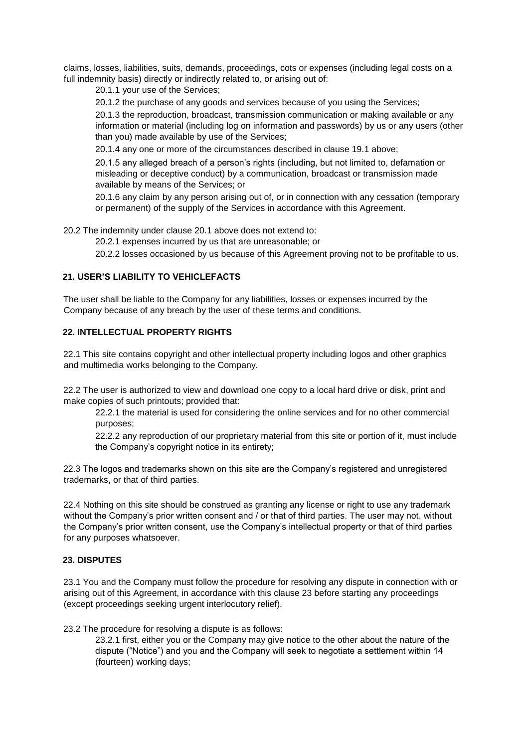claims, losses, liabilities, suits, demands, proceedings, cots or expenses (including legal costs on a full indemnity basis) directly or indirectly related to, or arising out of:

20.1.1 your use of the Services;

20.1.2 the purchase of any goods and services because of you using the Services;

20.1.3 the reproduction, broadcast, transmission communication or making available or any information or material (including log on information and passwords) by us or any users (other than you) made available by use of the Services;

20.1.4 any one or more of the circumstances described in clause 19.1 above;

20.1.5 any alleged breach of a person's rights (including, but not limited to, defamation or misleading or deceptive conduct) by a communication, broadcast or transmission made available by means of the Services; or

20.1.6 any claim by any person arising out of, or in connection with any cessation (temporary or permanent) of the supply of the Services in accordance with this Agreement.

20.2 The indemnity under clause 20.1 above does not extend to:

20.2.1 expenses incurred by us that are unreasonable; or

20.2.2 losses occasioned by us because of this Agreement proving not to be profitable to us.

#### **21. USER'S LIABILITY TO VEHICLEFACTS**

The user shall be liable to the Company for any liabilities, losses or expenses incurred by the Company because of any breach by the user of these terms and conditions.

#### **22. INTELLECTUAL PROPERTY RIGHTS**

22.1 This site contains copyright and other intellectual property including logos and other graphics and multimedia works belonging to the Company.

22.2 The user is authorized to view and download one copy to a local hard drive or disk, print and make copies of such printouts; provided that:

22.2.1 the material is used for considering the online services and for no other commercial purposes;

22.2.2 any reproduction of our proprietary material from this site or portion of it, must include the Company's copyright notice in its entirety;

22.3 The logos and trademarks shown on this site are the Company's registered and unregistered trademarks, or that of third parties.

22.4 Nothing on this site should be construed as granting any license or right to use any trademark without the Company's prior written consent and / or that of third parties. The user may not, without the Company's prior written consent, use the Company's intellectual property or that of third parties for any purposes whatsoever.

#### **23. DISPUTES**

23.1 You and the Company must follow the procedure for resolving any dispute in connection with or arising out of this Agreement, in accordance with this clause 23 before starting any proceedings (except proceedings seeking urgent interlocutory relief).

23.2 The procedure for resolving a dispute is as follows:

23.2.1 first, either you or the Company may give notice to the other about the nature of the dispute ("Notice") and you and the Company will seek to negotiate a settlement within 14 (fourteen) working days;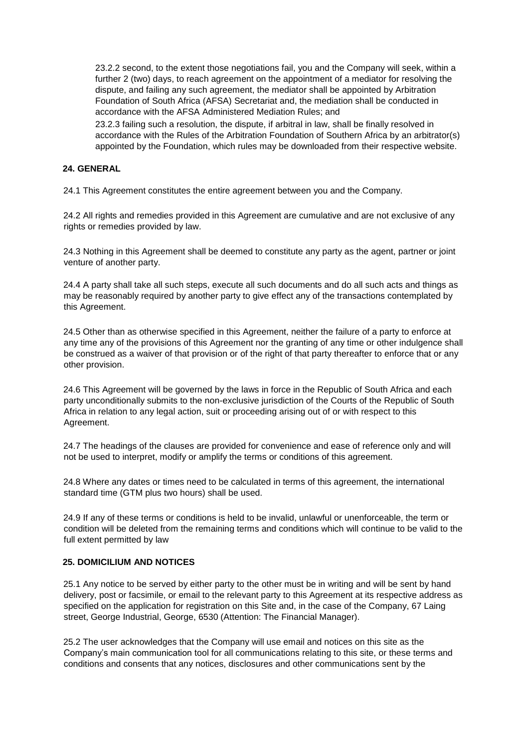23.2.2 second, to the extent those negotiations fail, you and the Company will seek, within a further 2 (two) days, to reach agreement on the appointment of a mediator for resolving the dispute, and failing any such agreement, the mediator shall be appointed by Arbitration Foundation of South Africa (AFSA) Secretariat and, the mediation shall be conducted in accordance with the AFSA Administered Mediation Rules; and

23.2.3 failing such a resolution, the dispute, if arbitral in law, shall be finally resolved in accordance with the Rules of the Arbitration Foundation of Southern Africa by an arbitrator(s) appointed by the Foundation, which rules may be downloaded from their respective website.

#### **24. GENERAL**

24.1 This Agreement constitutes the entire agreement between you and the Company.

24.2 All rights and remedies provided in this Agreement are cumulative and are not exclusive of any rights or remedies provided by law.

24.3 Nothing in this Agreement shall be deemed to constitute any party as the agent, partner or joint venture of another party.

24.4 A party shall take all such steps, execute all such documents and do all such acts and things as may be reasonably required by another party to give effect any of the transactions contemplated by this Agreement.

24.5 Other than as otherwise specified in this Agreement, neither the failure of a party to enforce at any time any of the provisions of this Agreement nor the granting of any time or other indulgence shall be construed as a waiver of that provision or of the right of that party thereafter to enforce that or any other provision.

24.6 This Agreement will be governed by the laws in force in the Republic of South Africa and each party unconditionally submits to the non-exclusive jurisdiction of the Courts of the Republic of South Africa in relation to any legal action, suit or proceeding arising out of or with respect to this Agreement.

24.7 The headings of the clauses are provided for convenience and ease of reference only and will not be used to interpret, modify or amplify the terms or conditions of this agreement.

24.8 Where any dates or times need to be calculated in terms of this agreement, the international standard time (GTM plus two hours) shall be used.

24.9 If any of these terms or conditions is held to be invalid, unlawful or unenforceable, the term or condition will be deleted from the remaining terms and conditions which will continue to be valid to the full extent permitted by law

## **25. DOMICILIUM AND NOTICES**

25.1 Any notice to be served by either party to the other must be in writing and will be sent by hand delivery, post or facsimile, or email to the relevant party to this Agreement at its respective address as specified on the application for registration on this Site and, in the case of the Company, 67 Laing street, George Industrial, George, 6530 (Attention: The Financial Manager).

25.2 The user acknowledges that the Company will use email and notices on this site as the Company's main communication tool for all communications relating to this site, or these terms and conditions and consents that any notices, disclosures and other communications sent by the